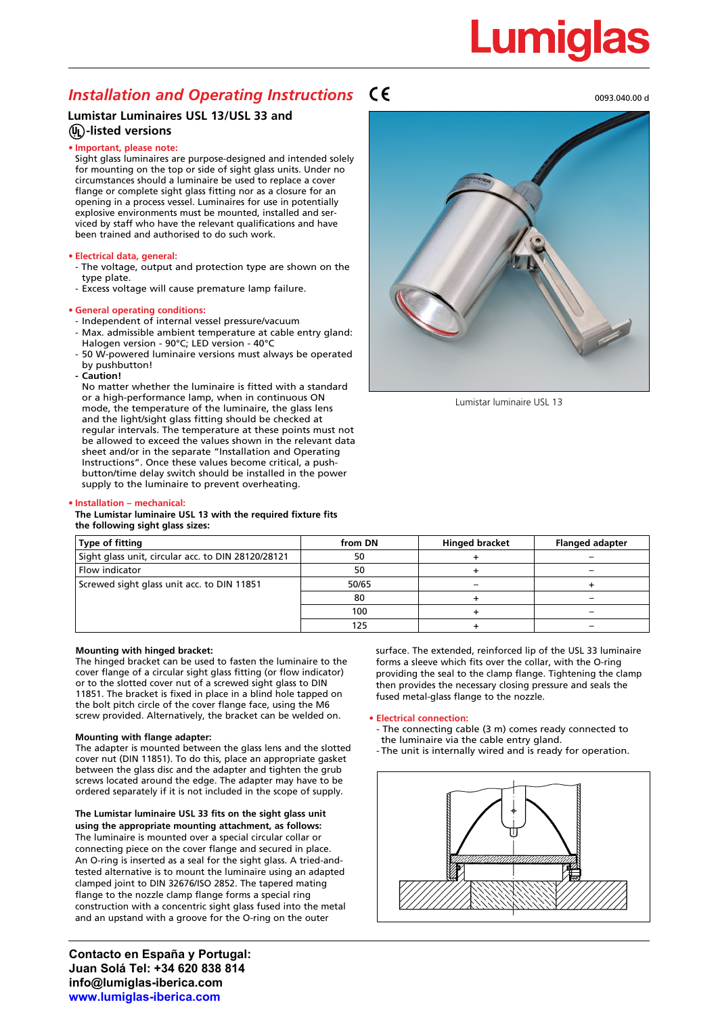# Lumigla

### **Installation and Operating Instructions CE** and the construction of the construction of the construction of the construction of the construction of the construction of the construction of the construction of the construct

#### **Lumistar Luminaires USL 13/USL 33 and -listed versions**

#### **• Important, please note:**

Sight glass luminaires are purpose-designed and intended solely for mounting on the top or side of sight glass units. Under no circumstances should a luminaire be used to replace a cover flange or complete sight glass fitting nor as a closure for an opening in a process vessel. Luminaires for use in potentially explosive environments must be mounted, installed and serviced by staff who have the relevant qualifications and have been trained and authorised to do such work.

#### **• Electrical data, general:**

- The voltage, output and protection type are shown on the type plate.
- Excess voltage will cause premature lamp failure.

#### **• General operating conditions:**

- Independent of internal vessel pressure/vacuum
- Max. admissible ambient temperature at cable entry gland: Halogen version - 90°C; LED version - 40°C
- 50 W-powered luminaire versions must always be operated by pushbutton!
- **- Caution!**

No matter whether the luminaire is fitted with a standard or a high-performance lamp, when in continuous ON mode, the temperature of the luminaire, the glass lens and the light/sight glass fitting should be checked at regular intervals. The temperature at these points must not be allowed to exceed the values shown in the relevant data sheet and/or in the separate "Installation and Operating Instructions". Once these values become critical, a pushbutton/time delay switch should be installed in the power supply to the luminaire to prevent overheating.



Lumistar luminaire USL 13

#### **• Installation – mechanical:**

#### **The Lumistar luminaire USL 13 with the required fixture fits the following sight glass sizes:**

| Type of fitting                                    | from DN | <b>Hinged bracket</b> | <b>Flanged adapter</b> |
|----------------------------------------------------|---------|-----------------------|------------------------|
| Sight glass unit, circular acc. to DIN 28120/28121 | 50      |                       |                        |
| Flow indicator                                     | 50      |                       |                        |
| Screwed sight glass unit acc. to DIN 11851         | 50/65   |                       |                        |
|                                                    | 80      |                       |                        |
|                                                    | 100     |                       |                        |
|                                                    | 125     |                       |                        |

#### **Mounting with hinged bracket:**

The hinged bracket can be used to fasten the luminaire to the cover flange of a circular sight glass fitting (or flow indicator) or to the slotted cover nut of a screwed sight glass to DIN 11851. The bracket is fixed in place in a blind hole tapped on the bolt pitch circle of the cover flange face, using the M6 screw provided. Alternatively, the bracket can be welded on.

#### **Mounting with flange adapter:**

The adapter is mounted between the glass lens and the slotted cover nut (DIN 11851). To do this, place an appropriate gasket between the glass disc and the adapter and tighten the grub screws located around the edge. The adapter may have to be ordered separately if it is not included in the scope of supply.

**The Lumistar luminaire USL 33 fits on the sight glass unit using the appropriate mounting attachment, as follows:**  The luminaire is mounted over a special circular collar or connecting piece on the cover flange and secured in place. An O-ring is inserted as a seal for the sight glass. A tried-andtested alternative is to mount the luminaire using an adapted clamped joint to DIN 32676/ISO 2852. The tapered mating flange to the nozzle clamp flange forms a special ring construction with a concentric sight glass fused into the metal and an upstand with a groove for the O-ring on the outer

**Contacto en España y Portugal: Juan Solá Tel: +34 620 838 814 info@lumiglas-iberica.com www.lumiglas-iberica.com**

surface. The extended, reinforced lip of the USL 33 luminaire forms a sleeve which fits over the collar, with the O-ring providing the seal to the clamp flange. Tightening the clamp then provides the necessary closing pressure and seals the fused metal-glass flange to the nozzle.

#### **• Electrical connection:**

- The connecting cable (3 m) comes ready connected to the luminaire via the cable entry gland.
- The unit is internally wired and is ready for operation.